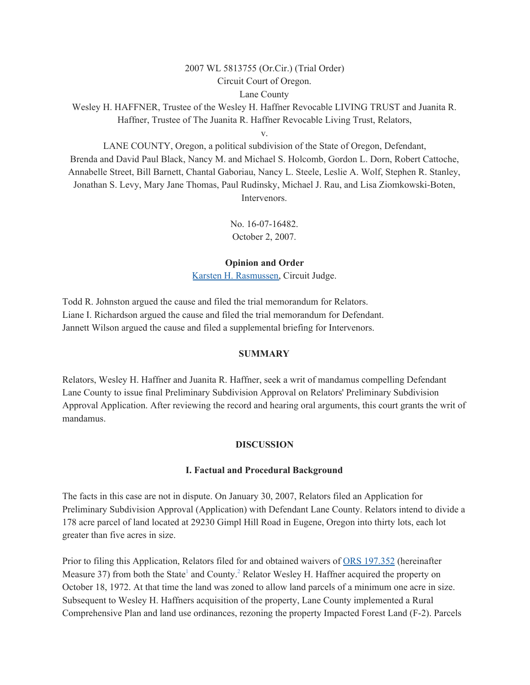#### 2007 WL 5813755 (Or.Cir.) (Trial Order)

Circuit Court of Oregon.

Lane County

Wesley H. HAFFNER, Trustee of the Wesley H. Haffner Revocable LIVING TRUST and Juanita R. Haffner, Trustee of The Juanita R. Haffner Revocable Living Trust, Relators,

v.

LANE COUNTY, Oregon, a political subdivision of the State of Oregon, Defendant, Brenda and David Paul Black, Nancy M. and Michael S. Holcomb, Gordon L. Dorn, Robert Cattoche, Annabelle Street, Bill Barnett, Chantal Gaboriau, Nancy L. Steele, Leslie A. Wolf, Stephen R. Stanley, Jonathan S. Levy, Mary Jane Thomas, Paul Rudinsky, Michael J. Rau, and Lisa Ziomkowski-Boten, Intervenors.

> No. 16-07-16482. October 2, 2007.

## **Opinion and Order**

Karsten H. [Rasmussen,](https://1.next.westlaw.com/Link/Document/FullText?findType=h&pubNum=176284&cite=0227105801&originatingDoc=I34acefbdc52a11ddb6a3a099756c05b7&refType=RQ&originationContext=document&transitionType=DocumentItem&contextData=(sc.Default)) Circuit Judge.

Todd R. Johnston argued the cause and filed the trial memorandum for Relators. Liane I. Richardson argued the cause and filed the trial memorandum for Defendant. Jannett Wilson argued the cause and filed a supplemental briefing for Intervenors.

### **SUMMARY**

Relators, Wesley H. Haffner and Juanita R. Haffner, seek a writ of mandamus compelling Defendant Lane County to issue final Preliminary Subdivision Approval on Relators' Preliminary Subdivision Approval Application. After reviewing the record and hearing oral arguments, this court grants the writ of mandamus.

## **DISCUSSION**

## **I. Factual and Procedural Background**

The facts in this case are not in dispute. On January 30, 2007, Relators filed an Application for Preliminary Subdivision Approval (Application) with Defendant Lane County. Relators intend to divide a 178 acre parcel of land located at 29230 Gimpl Hill Road in Eugene, Oregon into thirty lots, each lot greater than five acres in size.

Prior to filing this Application, Relators filed for and obtained waivers of ORS [197.352](https://1.next.westlaw.com/Link/Document/FullText?findType=L&pubNum=1000534&cite=ORSTS197.352&originatingDoc=I34acefbdc52a11ddb6a3a099756c05b7&refType=LQ&originationContext=document&transitionType=DocumentItem&contextData=(sc.Default)) (hereinafter Measure 37) from both the State<sup>1</sup> and County.<sup>2</sup> Relator Wesley H. Haffner acquired the property on October 18, 1972. At that time the land was zoned to allow land parcels of a minimum one acre in size. Subsequent to Wesley H. Haffners acquisition of the property, Lane County implemented a Rural Comprehensive Plan and land use ordinances, rezoning the property Impacted Forest Land (F-2). Parcels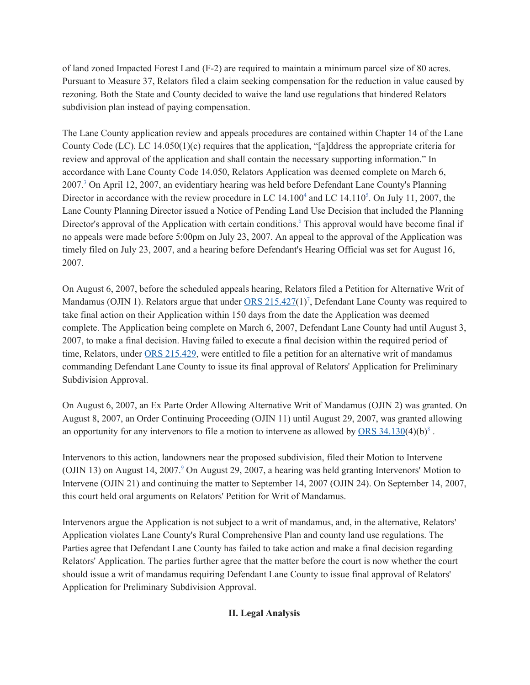of land zoned Impacted Forest Land (F-2) are required to maintain a minimum parcel size of 80 acres. Pursuant to Measure 37, Relators filed a claim seeking compensation for the reduction in value caused by rezoning. Both the State and County decided to waive the land use regulations that hindered Relators subdivision plan instead of paying compensation.

The Lane County application review and appeals procedures are contained within Chapter 14 of the Lane County Code (LC). LC 14.050(1)(c) requires that the application, "[a]ddress the appropriate criteria for review and approval of the application and shall contain the necessary supporting information." In accordance with Lane County Code 14.050, Relators Application was deemed complete on March 6, 2007.<sup>3</sup> On April 12, 2007, an evidentiary hearing was held before Defendant Lane County's Planning Director in accordance with the review procedure in LC  $14.100<sup>4</sup>$  and LC  $14.110<sup>5</sup>$ . On July 11, 2007, the Lane County Planning Director issued a Notice of Pending Land Use Decision that included the Planning Director's approval of the Application with certain conditions.<sup>6</sup> This approval would have become final if no appeals were made before 5:00pm on July 23, 2007. An appeal to the approval of the Application was timely filed on July 23, 2007, and a hearing before Defendant's Hearing Official was set for August 16, 2007.

On August 6, 2007, before the scheduled appeals hearing, Relators filed a Petition for Alternative Writ of Mandamus (OJIN 1). Relators argue that under ORS [215.427\(](https://1.next.westlaw.com/Link/Document/FullText?findType=L&pubNum=1000534&cite=ORSTS215.427&originatingDoc=I34acefbdc52a11ddb6a3a099756c05b7&refType=LQ&originationContext=document&transitionType=DocumentItem&contextData=(sc.Default))1)<sup>7</sup>, Defendant Lane County was required to take final action on their Application within 150 days from the date the Application was deemed complete. The Application being complete on March 6, 2007, Defendant Lane County had until August 3, 2007, to make a final decision. Having failed to execute a final decision within the required period of time, Relators, under ORS [215.429](https://1.next.westlaw.com/Link/Document/FullText?findType=L&pubNum=1000534&cite=ORSTS215.429&originatingDoc=I34acefbdc52a11ddb6a3a099756c05b7&refType=LQ&originationContext=document&transitionType=DocumentItem&contextData=(sc.Default)), were entitled to file a petition for an alternative writ of mandamus commanding Defendant Lane County to issue its final approval of Relators' Application for Preliminary Subdivision Approval.

On August 6, 2007, an Ex Parte Order Allowing Alternative Writ of Mandamus (OJIN 2) was granted. On August 8, 2007, an Order Continuing Proceeding (OJIN 11) until August 29, 2007, was granted allowing an opportunity for any intervenors to file a motion to intervene as allowed by  $\overline{ORS} 34.130(4)(b)^8$  $\overline{ORS} 34.130(4)(b)^8$  $\overline{ORS} 34.130(4)(b)^8$ .

Intervenors to this action, landowners near the proposed subdivision, filed their Motion to Intervene (OJIN 13) on August 14, 2007. <sup>9</sup> On August 29, 2007, a hearing was held granting Intervenors' Motion to Intervene (OJIN 21) and continuing the matter to September 14, 2007 (OJIN 24). On September 14, 2007, this court held oral arguments on Relators' Petition for Writ of Mandamus.

Intervenors argue the Application is not subject to a writ of mandamus, and, in the alternative, Relators' Application violates Lane County's Rural Comprehensive Plan and county land use regulations. The Parties agree that Defendant Lane County has failed to take action and make a final decision regarding Relators' Application. The parties further agree that the matter before the court is now whether the court should issue a writ of mandamus requiring Defendant Lane County to issue final approval of Relators' Application for Preliminary Subdivision Approval.

# **II. Legal Analysis**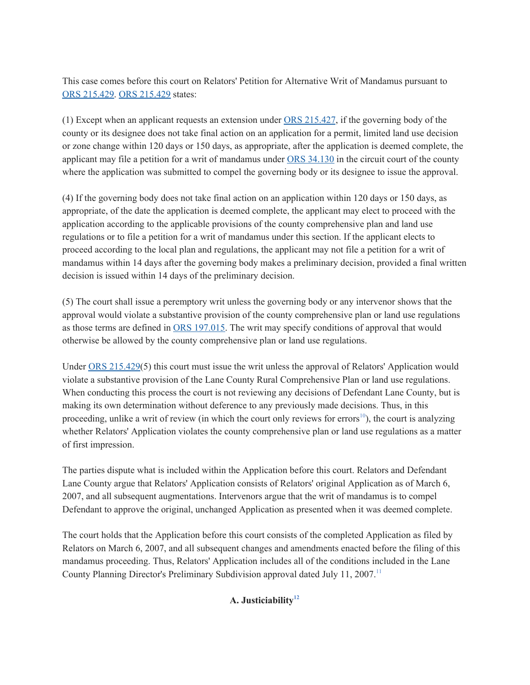This case comes before this court on Relators' Petition for Alternative Writ of Mandamus pursuant to ORS [215.429.](https://1.next.westlaw.com/Link/Document/FullText?findType=L&pubNum=1000534&cite=ORSTS215.429&originatingDoc=I34acefbdc52a11ddb6a3a099756c05b7&refType=LQ&originationContext=document&transitionType=DocumentItem&contextData=(sc.Default)) ORS [215.429](https://1.next.westlaw.com/Link/Document/FullText?findType=L&pubNum=1000534&cite=ORSTS215.429&originatingDoc=I34acefbdc52a11ddb6a3a099756c05b7&refType=LQ&originationContext=document&transitionType=DocumentItem&contextData=(sc.Default)) states:

(1) Except when an applicant requests an extension under ORS [215.427,](https://1.next.westlaw.com/Link/Document/FullText?findType=L&pubNum=1000534&cite=ORSTS215.427&originatingDoc=I34acefbdc52a11ddb6a3a099756c05b7&refType=LQ&originationContext=document&transitionType=DocumentItem&contextData=(sc.Default)) if the governing body of the county or its designee does not take final action on an application for a permit, limited land use decision or zone change within 120 days or 150 days, as appropriate, after the application is deemed complete, the applicant may file a petition for a writ of mandamus under ORS [34.130](https://1.next.westlaw.com/Link/Document/FullText?findType=L&pubNum=1000534&cite=ORSTS34.130&originatingDoc=I34acefbdc52a11ddb6a3a099756c05b7&refType=LQ&originationContext=document&transitionType=DocumentItem&contextData=(sc.Default)) in the circuit court of the county where the application was submitted to compel the governing body or its designee to issue the approval.

(4) If the governing body does not take final action on an application within 120 days or 150 days, as appropriate, of the date the application is deemed complete, the applicant may elect to proceed with the application according to the applicable provisions of the county comprehensive plan and land use regulations or to file a petition for a writ of mandamus under this section. If the applicant elects to proceed according to the local plan and regulations, the applicant may not file a petition for a writ of mandamus within 14 days after the governing body makes a preliminary decision, provided a final written decision is issued within 14 days of the preliminary decision.

(5) The court shall issue a peremptory writ unless the governing body or any intervenor shows that the approval would violate a substantive provision of the county comprehensive plan or land use regulations as those terms are defined in ORS [197.015](https://1.next.westlaw.com/Link/Document/FullText?findType=L&pubNum=1000534&cite=ORSTS197.015&originatingDoc=I34acefbdc52a11ddb6a3a099756c05b7&refType=LQ&originationContext=document&transitionType=DocumentItem&contextData=(sc.Default)). The writ may specify conditions of approval that would otherwise be allowed by the county comprehensive plan or land use regulations.

Under ORS [215.429](https://1.next.westlaw.com/Link/Document/FullText?findType=L&pubNum=1000534&cite=ORSTS215.429&originatingDoc=I34acefbdc52a11ddb6a3a099756c05b7&refType=LQ&originationContext=document&transitionType=DocumentItem&contextData=(sc.Default))(5) this court must issue the writ unless the approval of Relators' Application would violate a substantive provision of the Lane County Rural Comprehensive Plan or land use regulations. When conducting this process the court is not reviewing any decisions of Defendant Lane County, but is making its own determination without deference to any previously made decisions. Thus, in this proceeding, unlike a writ of review (in which the court only reviews for errors<sup>10</sup>), the court is analyzing whether Relators' Application violates the county comprehensive plan or land use regulations as a matter of first impression.

The parties dispute what is included within the Application before this court. Relators and Defendant Lane County argue that Relators' Application consists of Relators' original Application as of March 6, 2007, and all subsequent augmentations. Intervenors argue that the writ of mandamus is to compel Defendant to approve the original, unchanged Application as presented when it was deemed complete.

The court holds that the Application before this court consists of the completed Application as filed by Relators on March 6, 2007, and all subsequent changes and amendments enacted before the filing of this mandamus proceeding. Thus, Relators' Application includes all of the conditions included in the Lane County Planning Director's Preliminary Subdivision approval dated July 11, 2007.<sup>11</sup>

# **A. Justiciability 12**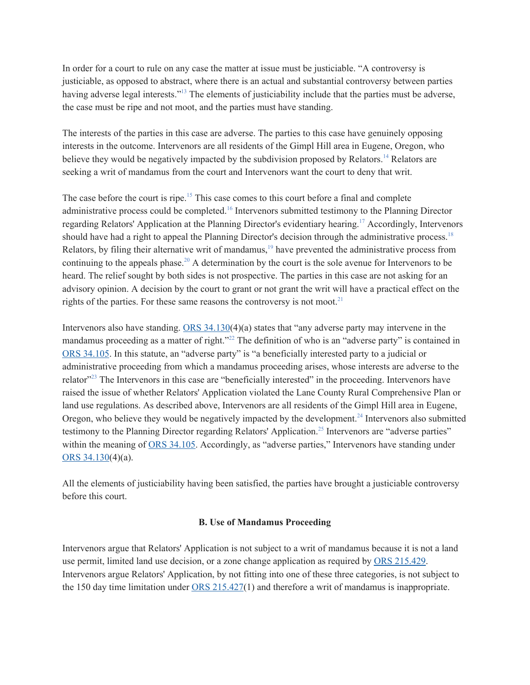In order for a court to rule on any case the matter at issue must be justiciable. "A controversy is justiciable, as opposed to abstract, where there is an actual and substantial controversy between parties having adverse legal interests."<sup>13</sup> The elements of justiciability include that the parties must be adverse, the case must be ripe and not moot, and the parties must have standing.

The interests of the parties in this case are adverse. The parties to this case have genuinely opposing interests in the outcome. Intervenors are all residents of the Gimpl Hill area in Eugene, Oregon, who believe they would be negatively impacted by the subdivision proposed by Relators.<sup>14</sup> Relators are seeking a writ of mandamus from the court and Intervenors want the court to deny that writ.

The case before the court is ripe.<sup>15</sup> This case comes to this court before a final and complete administrative process could be completed.<sup>16</sup> Intervenors submitted testimony to the Planning Director regarding Relators' Application at the Planning Director's evidentiary hearing. <sup>17</sup> Accordingly, Intervenors should have had a right to appeal the Planning Director's decision through the administrative process.<sup>18</sup> Relators, by filing their alternative writ of mandamus,<sup>19</sup> have prevented the administrative process from continuing to the appeals phase. <sup>20</sup> A determination by the court is the sole avenue for Intervenors to be heard. The relief sought by both sides is not prospective. The parties in this case are not asking for an advisory opinion. A decision by the court to grant or not grant the writ will have a practical effect on the rights of the parties. For these same reasons the controversy is not moot.<sup>21</sup>

Intervenors also have standing. ORS [34.130\(](https://1.next.westlaw.com/Link/Document/FullText?findType=L&pubNum=1000534&cite=ORSTS34.130&originatingDoc=I34acefbdc52a11ddb6a3a099756c05b7&refType=LQ&originationContext=document&transitionType=DocumentItem&contextData=(sc.Default))4)(a) states that "any adverse party may intervene in the mandamus proceeding as a matter of right."<sup>22</sup> The definition of who is an "adverse party" is contained in ORS [34.105](https://1.next.westlaw.com/Link/Document/FullText?findType=L&pubNum=1000534&cite=ORSTS34.105&originatingDoc=I34acefbdc52a11ddb6a3a099756c05b7&refType=LQ&originationContext=document&transitionType=DocumentItem&contextData=(sc.Default)). In this statute, an "adverse party" is "a beneficially interested party to a judicial or administrative proceeding from which a mandamus proceeding arises, whose interests are adverse to the relator<sup>"23</sup> The Intervenors in this case are "beneficially interested" in the proceeding. Intervenors have raised the issue of whether Relators' Application violated the Lane County Rural Comprehensive Plan or land use regulations. As described above, Intervenors are all residents of the Gimpl Hill area in Eugene, Oregon, who believe they would be negatively impacted by the development.<sup>24</sup> Intervenors also submitted testimony to the Planning Director regarding Relators' Application. 25 Intervenors are "adverse parties" within the meaning of ORS [34.105.](https://1.next.westlaw.com/Link/Document/FullText?findType=L&pubNum=1000534&cite=ORSTS34.105&originatingDoc=I34acefbdc52a11ddb6a3a099756c05b7&refType=LQ&originationContext=document&transitionType=DocumentItem&contextData=(sc.Default)) Accordingly, as "adverse parties," Intervenors have standing under ORS [34.130](https://1.next.westlaw.com/Link/Document/FullText?findType=L&pubNum=1000534&cite=ORSTS34.130&originatingDoc=I34acefbdc52a11ddb6a3a099756c05b7&refType=LQ&originationContext=document&transitionType=DocumentItem&contextData=(sc.Default))(4)(a).

All the elements of justiciability having been satisfied, the parties have brought a justiciable controversy before this court.

## **B. Use of Mandamus Proceeding**

Intervenors argue that Relators' Application is not subject to a writ of mandamus because it is not a land use permit, limited land use decision, or a zone change application as required by ORS [215.429](https://1.next.westlaw.com/Link/Document/FullText?findType=L&pubNum=1000534&cite=ORSTS215.429&originatingDoc=I34acefbdc52a11ddb6a3a099756c05b7&refType=LQ&originationContext=document&transitionType=DocumentItem&contextData=(sc.Default)). Intervenors argue Relators' Application, by not fitting into one of these three categories, is not subject to the 150 day time limitation under ORS [215.427](https://1.next.westlaw.com/Link/Document/FullText?findType=L&pubNum=1000534&cite=ORSTS215.427&originatingDoc=I34acefbdc52a11ddb6a3a099756c05b7&refType=LQ&originationContext=document&transitionType=DocumentItem&contextData=(sc.Default))(1) and therefore a writ of mandamus is inappropriate.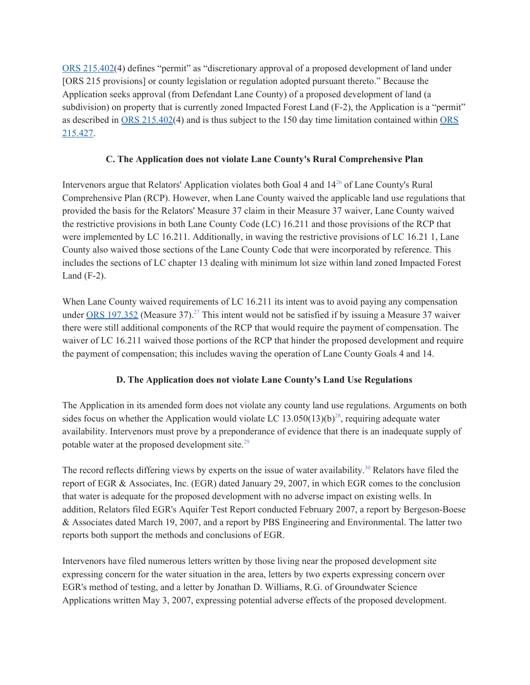ORS [215.402\(](https://1.next.westlaw.com/Link/Document/FullText?findType=L&pubNum=1000534&cite=ORSTS215.402&originatingDoc=I34acefbdc52a11ddb6a3a099756c05b7&refType=LQ&originationContext=document&transitionType=DocumentItem&contextData=(sc.Default))4) defines "permit" as "discretionary approval of a proposed development of land under [ORS 215 provisions] or county legislation or regulation adopted pursuant thereto." Because the Application seeks approval (from Defendant Lane County) of a proposed development of land (a subdivision) on property that is currently zoned Impacted Forest Land (F-2), the Application is a "permit" as described in ORS [215.402\(](https://1.next.westlaw.com/Link/Document/FullText?findType=L&pubNum=1000534&cite=ORSTS215.402&originatingDoc=I34acefbdc52a11ddb6a3a099756c05b7&refType=LQ&originationContext=document&transitionType=DocumentItem&contextData=(sc.Default))4) and is thus subject to the 150 day time limitation contained within [ORS](https://1.next.westlaw.com/Link/Document/FullText?findType=L&pubNum=1000534&cite=ORSTS215.427&originatingDoc=I34acefbdc52a11ddb6a3a099756c05b7&refType=LQ&originationContext=document&transitionType=DocumentItem&contextData=(sc.Default)) [215.427.](https://1.next.westlaw.com/Link/Document/FullText?findType=L&pubNum=1000534&cite=ORSTS215.427&originatingDoc=I34acefbdc52a11ddb6a3a099756c05b7&refType=LQ&originationContext=document&transitionType=DocumentItem&contextData=(sc.Default))

# **C. The Application does not violate Lane County's Rural Comprehensive Plan**

Intervenors argue that Relators' Application violates both Goal 4 and  $14^{26}$  of Lane County's Rural Comprehensive Plan (RCP). However, when Lane County waived the applicable land use regulations that provided the basis for the Relators' Measure 37 claim in their Measure 37 waiver, Lane County waived the restrictive provisions in both Lane County Code (LC) 16.211 and those provisions of the RCP that were implemented by LC 16.211. Additionally, in waving the restrictive provisions of LC 16.21 1, Lane County also waived those sections of the Lane County Code that were incorporated by reference. This includes the sections of LC chapter 13 dealing with minimum lot size within land zoned Impacted Forest Land  $(F-2)$ .

When Lane County waived requirements of LC 16.211 its intent was to avoid paying any compensation under  $\overline{ORS}$  [197.352](https://1.next.westlaw.com/Link/Document/FullText?findType=L&pubNum=1000534&cite=ORSTS197.352&originatingDoc=I34acefbdc52a11ddb6a3a099756c05b7&refType=LQ&originationContext=document&transitionType=DocumentItem&contextData=(sc.Default)) (Measure 37).<sup>27</sup> This intent would not be satisfied if by issuing a Measure 37 waiver there were still additional components of the RCP that would require the payment of compensation. The waiver of LC 16.211 waived those portions of the RCP that hinder the proposed development and require the payment of compensation; this includes waving the operation of Lane County Goals 4 and 14.

# **D. The Application does not violate Lane County's Land Use Regulations**

The Application in its amended form does not violate any county land use regulations. Arguments on both sides focus on whether the Application would violate LC  $13.050(13)(b)^{28}$ , requiring adequate water availability. Intervenors must prove by a preponderance of evidence that there is an inadequate supply of potable water at the proposed development site.<sup>29</sup>

The record reflects differing views by experts on the issue of water availability.<sup>30</sup> Relators have filed the report of EGR & Associates, Inc. (EGR) dated January 29, 2007, in which EGR comes to the conclusion that water is adequate for the proposed development with no adverse impact on existing wells. In addition, Relators filed EGR's Aquifer Test Report conducted February 2007, a report by Bergeson-Boese & Associates dated March 19, 2007, and a report by PBS Engineering and Environmental. The latter two reports both support the methods and conclusions of EGR.

Intervenors have filed numerous letters written by those living near the proposed development site expressing concern for the water situation in the area, letters by two experts expressing concern over EGR's method of testing, and a letter by Jonathan D. Williams, R.G. of Groundwater Science Applications written May 3, 2007, expressing potential adverse effects of the proposed development.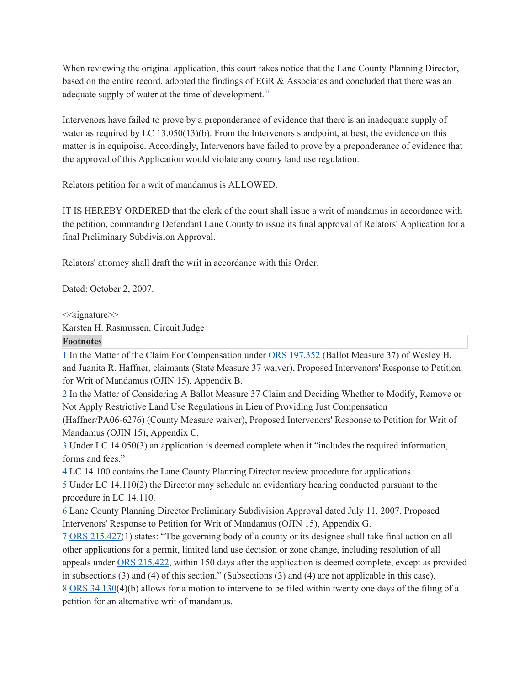When reviewing the original application, this court takes notice that the Lane County Planning Director, based on the entire record, adopted the findings of EGR & Associates and concluded that there was an adequate supply of water at the time of development.<sup>31</sup>

Intervenors have failed to prove by a preponderance of evidence that there is an inadequate supply of water as required by LC 13.050(13)(b). From the Intervenors standpoint, at best, the evidence on this matter is in equipoise. Accordingly, Intervenors have failed to prove by a preponderance of evidence that the approval of this Application would violate any county land use regulation.

Relators petition for a writ of mandamus is ALLOWED.

IT IS HEREBY ORDERED that the clerk of the court shall issue a writ of mandamus in accordance with the petition, commanding Defendant Lane County to issue its final approval of Relators' Application for a final Preliminary Subdivision Approval.

Relators' attorney shall draft the writ in accordance with this Order.

Dated: October 2, 2007.

 $<<$ signature $>>$ 

Karsten H. Rasmussen, Circuit Judge

### **Footnotes**

1 In the Matter of the Claim For Compensation under ORS [197.352](https://1.next.westlaw.com/Link/Document/FullText?findType=L&pubNum=1000534&cite=ORSTS197.352&originatingDoc=I34acefbdc52a11ddb6a3a099756c05b7&refType=LQ&originationContext=document&transitionType=DocumentItem&contextData=(sc.Default)) (Ballot Measure 37) of Wesley H. and Juanita R. Haffner, claimants (State Measure 37 waiver), Proposed Intervenors' Response to Petition for Writ of Mandamus (OJIN 15), Appendix B.

2 In the Matter of Considering A Ballot Measure 37 Claim and Deciding Whether to Modify, Remove or Not Apply Restrictive Land Use Regulations in Lieu of Providing Just Compensation

(Haffner/PA06-6276) (County Measure waiver), Proposed Intervenors' Response to Petition for Writ of Mandamus (OJIN 15), Appendix C.

3 Under LC 14.050(3) an application is deemed complete when it "includes the required information, forms and fees."

4 LC 14.100 contains the Lane County Planning Director review procedure for applications.

5 Under LC 14.110(2) the Director may schedule an evidentiary hearing conducted pursuant to the procedure in LC 14.110.

6 Lane County Planning Director Preliminary Subdivision Approval dated July 11, 2007, Proposed Intervenors' Response to Petition for Writ of Mandamus (OJIN 15), Appendix G.

[7](https://1.next.westlaw.com/Link/Document/FullText?findType=L&pubNum=1000534&cite=ORSTS215.427&originatingDoc=I34acefbdc52a11ddb6a3a099756c05b7&refType=LQ&originationContext=document&transitionType=DocumentItem&contextData=(sc.Default)) ORS [215.427](https://1.next.westlaw.com/Link/Document/FullText?findType=L&pubNum=1000534&cite=ORSTS215.427&originatingDoc=I34acefbdc52a11ddb6a3a099756c05b7&refType=LQ&originationContext=document&transitionType=DocumentItem&contextData=(sc.Default))(1) states: "Tbe governing body of a county or its designee shall take final action on all other applications for a permit, limited land use decision or zone change, including resolution of all appeals under ORS [215.422](https://1.next.westlaw.com/Link/Document/FullText?findType=L&pubNum=1000534&cite=ORSTS215.422&originatingDoc=I34acefbdc52a11ddb6a3a099756c05b7&refType=LQ&originationContext=document&transitionType=DocumentItem&contextData=(sc.Default)), within 150 days after the application is deemed complete, except as provided in subsections (3) and (4) of this section." (Subsections (3) and (4) are not applicable in this case). [8](https://1.next.westlaw.com/Link/Document/FullText?findType=L&pubNum=1000534&cite=ORSTS34.130&originatingDoc=I34acefbdc52a11ddb6a3a099756c05b7&refType=LQ&originationContext=document&transitionType=DocumentItem&contextData=(sc.Default)) ORS [34.130](https://1.next.westlaw.com/Link/Document/FullText?findType=L&pubNum=1000534&cite=ORSTS34.130&originatingDoc=I34acefbdc52a11ddb6a3a099756c05b7&refType=LQ&originationContext=document&transitionType=DocumentItem&contextData=(sc.Default))(4)(b) allows for a motion to intervene to be filed within twenty one days of the filing of a petition for an alternative writ of mandamus.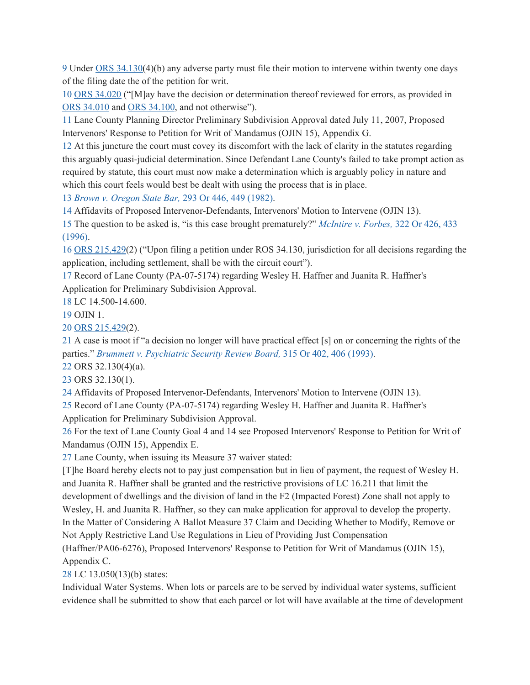9 Under ORS [34.130\(](https://1.next.westlaw.com/Link/Document/FullText?findType=L&pubNum=1000534&cite=ORSTS34.130&originatingDoc=I34acefbdc52a11ddb6a3a099756c05b7&refType=LQ&originationContext=document&transitionType=DocumentItem&contextData=(sc.Default))4)(b) any adverse party must file their motion to intervene within twenty one days of the filing date the of the petition for writ.

10 [O](https://1.next.westlaw.com/Link/Document/FullText?findType=L&pubNum=1000534&cite=ORSTS34.020&originatingDoc=I34acefbdc52a11ddb6a3a099756c05b7&refType=LQ&originationContext=document&transitionType=DocumentItem&contextData=(sc.Default))RS [34.020](https://1.next.westlaw.com/Link/Document/FullText?findType=L&pubNum=1000534&cite=ORSTS34.020&originatingDoc=I34acefbdc52a11ddb6a3a099756c05b7&refType=LQ&originationContext=document&transitionType=DocumentItem&contextData=(sc.Default)) ("[M]ay have the decision or determination thereof reviewed for errors, as provided in ORS [34.010](https://1.next.westlaw.com/Link/Document/FullText?findType=L&pubNum=1000534&cite=ORSTS34.010&originatingDoc=I34acefbdc52a11ddb6a3a099756c05b7&refType=LQ&originationContext=document&transitionType=DocumentItem&contextData=(sc.Default)) and ORS [34.100](https://1.next.westlaw.com/Link/Document/FullText?findType=L&pubNum=1000534&cite=ORSTS34.100&originatingDoc=I34acefbdc52a11ddb6a3a099756c05b7&refType=LQ&originationContext=document&transitionType=DocumentItem&contextData=(sc.Default)), and not otherwise").

11 Lane County Planning Director Preliminary Subdivision Approval dated July 11, 2007, Proposed Intervenors' Response to Petition for Writ of Mandamus (OJIN 15), Appendix G.

12 At this juncture the court must covey its discomfort with the lack of clarity in the statutes regarding this arguably quasi-judicial determination. Since Defendant Lane County's failed to take prompt action as required by statute, this court must now make a determination which is arguably policy in nature and which this court feels would best be dealt with using the process that is in place.

13 *Brown v. Oregon State Bar,* 293 Or 446, 449 (1982).

14 Affidavits of Proposed Intervenor-Defendants, Intervenors' Motion to Intervene (OJIN 13).

15 The question to be asked is, "is this case brought prematurely?" *McIntire v. Forbes,* 322 Or 426, 433 (1996).

16 [O](https://1.next.westlaw.com/Link/Document/FullText?findType=L&pubNum=1000534&cite=ORSTS215.429&originatingDoc=I34acefbdc52a11ddb6a3a099756c05b7&refType=LQ&originationContext=document&transitionType=DocumentItem&contextData=(sc.Default))RS [215.429\(](https://1.next.westlaw.com/Link/Document/FullText?findType=L&pubNum=1000534&cite=ORSTS215.429&originatingDoc=I34acefbdc52a11ddb6a3a099756c05b7&refType=LQ&originationContext=document&transitionType=DocumentItem&contextData=(sc.Default))2) ("Upon filing a petition under ROS 34.130, jurisdiction for all decisions regarding the application, including settlement, shall be with the circuit court").

17 Record of Lane County (PA-07-5174) regarding Wesley H. Haffner and Juanita R. Haffner's Application for Preliminary Subdivision Approval.

18 LC 14.500-14.600.

19 OJIN 1.

20 [O](https://1.next.westlaw.com/Link/Document/FullText?findType=L&pubNum=1000534&cite=ORSTS215.429&originatingDoc=I34acefbdc52a11ddb6a3a099756c05b7&refType=LQ&originationContext=document&transitionType=DocumentItem&contextData=(sc.Default))RS [215.429\(](https://1.next.westlaw.com/Link/Document/FullText?findType=L&pubNum=1000534&cite=ORSTS215.429&originatingDoc=I34acefbdc52a11ddb6a3a099756c05b7&refType=LQ&originationContext=document&transitionType=DocumentItem&contextData=(sc.Default))2).

21 A case is moot if "a decision no longer will have practical effect [s] on or concerning the rights of the parties." *Brummett v. Psychiatric Security Review Board,* 315 Or 402, 406 (1993).

22 ORS 32.130(4)(a).

23 ORS 32.130(1).

24 Affidavits of Proposed Intervenor-Defendants, Intervenors' Motion to Intervene (OJIN 13).

25 Record of Lane County (PA-07-5174) regarding Wesley H. Haffner and Juanita R. Haffner's Application for Preliminary Subdivision Approval.

26 For the text of Lane County Goal 4 and 14 see Proposed Intervenors' Response to Petition for Writ of Mandamus (OJIN 15), Appendix E.

27 Lane County, when issuing its Measure 37 waiver stated:

[T]he Board hereby elects not to pay just compensation but in lieu of payment, the request of Wesley H. and Juanita R. Haffner shall be granted and the restrictive provisions of LC 16.211 that limit the development of dwellings and the division of land in the F2 (Impacted Forest) Zone shall not apply to Wesley, H. and Juanita R. Haffner, so they can make application for approval to develop the property. In the Matter of Considering A Ballot Measure 37 Claim and Deciding Whether to Modify, Remove or Not Apply Restrictive Land Use Regulations in Lieu of Providing Just Compensation

(Haffner/PA06-6276), Proposed Intervenors' Response to Petition for Writ of Mandamus (OJIN 15), Appendix C.

28 LC 13.050(13)(b) states:

Individual Water Systems. When lots or parcels are to be served by individual water systems, sufficient evidence shall be submitted to show that each parcel or lot will have available at the time of development